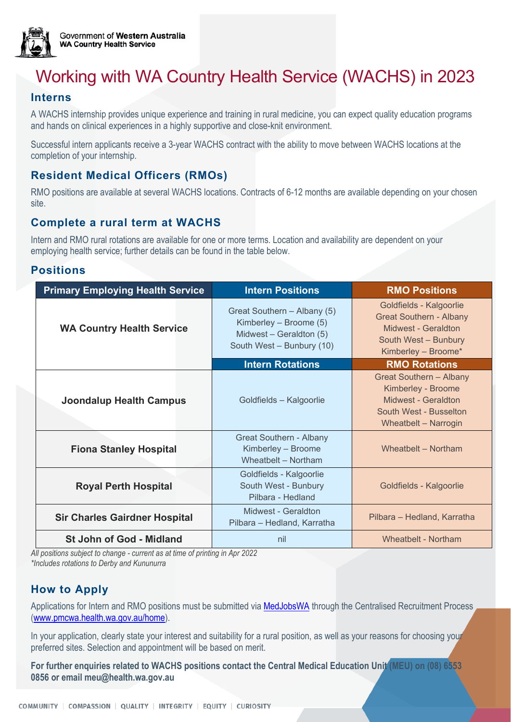

# Working with WA Country Health Service (WACHS) in 2023

#### **Interns**

A WACHS internship provides unique experience and training in rural medicine, you can expect quality education programs and hands on clinical experiences in a highly supportive and close-knit environment.

Successful intern applicants receive a 3-year WACHS contract with the ability to move between WACHS locations at the completion of your internship.

#### **Resident Medical Officers (RMOs)**

RMO positions are available at several WACHS locations. Contracts of 6-12 months are available depending on your chosen site.

#### **Complete a rural term at WACHS**

Intern and RMO rural rotations are available for one or more terms. Location and availability are dependent on your employing health service; further details can be found in the table below.

#### **Positions**

| <b>Primary Employing Health Service</b> | <b>Intern Positions</b>                                                                                       | <b>RMO Positions</b>                                                                                                            |
|-----------------------------------------|---------------------------------------------------------------------------------------------------------------|---------------------------------------------------------------------------------------------------------------------------------|
| <b>WA Country Health Service</b>        | Great Southern - Albany (5)<br>Kimberley - Broome (5)<br>Midwest - Geraldton (5)<br>South West - Bunbury (10) | Goldfields - Kalgoorlie<br><b>Great Southern - Albany</b><br>Midwest - Geraldton<br>South West - Bunbury<br>Kimberley - Broome* |
|                                         | <b>Intern Rotations</b>                                                                                       | <b>RMO Rotations</b>                                                                                                            |
| <b>Joondalup Health Campus</b>          | Goldfields - Kalgoorlie                                                                                       | <b>Great Southern - Albany</b><br>Kimberley - Broome<br>Midwest - Geraldton<br>South West - Busselton<br>Wheatbelt - Narrogin   |
| <b>Fiona Stanley Hospital</b>           | <b>Great Southern - Albany</b><br>Kimberley - Broome<br>Wheatbelt - Northam                                   | Wheatbelt - Northam                                                                                                             |
| <b>Royal Perth Hospital</b>             | Goldfields - Kalgoorlie<br>South West - Bunbury<br>Pilbara - Hedland                                          | Goldfields - Kalgoorlie                                                                                                         |
| <b>Sir Charles Gairdner Hospital</b>    | Midwest - Geraldton<br>Pilbara - Hedland, Karratha                                                            | Pilbara - Hedland, Karratha                                                                                                     |
| <b>St John of God - Midland</b>         | nil                                                                                                           | Wheathelt - Northam                                                                                                             |

*All positions subject to change - current as at time of printing in Apr 2022 \*Includes rotations to Derby and Kununurra* 

### **How to Apply**

Applications for Intern and RMO positions must be submitted via [MedJobsWA](https://medjobswa.mercury.com.au/) through the Centralised Recruitment Process [\(www.pmcwa.health.wa.gov.au/home\)](http://www.pmcwa.health.wa.gov.au/home).

In your application, clearly state your interest and suitability for a rural position, as well as your reasons for choosing your preferred sites. Selection and appointment will be based on merit.

**For further enquiries related to WACHS positions contact the Central Medical Education Unit (MEU) on (08) 6553 0856 or email [meu@health.wa.gov.au](mailto:meu@health.wa.gov.au)**